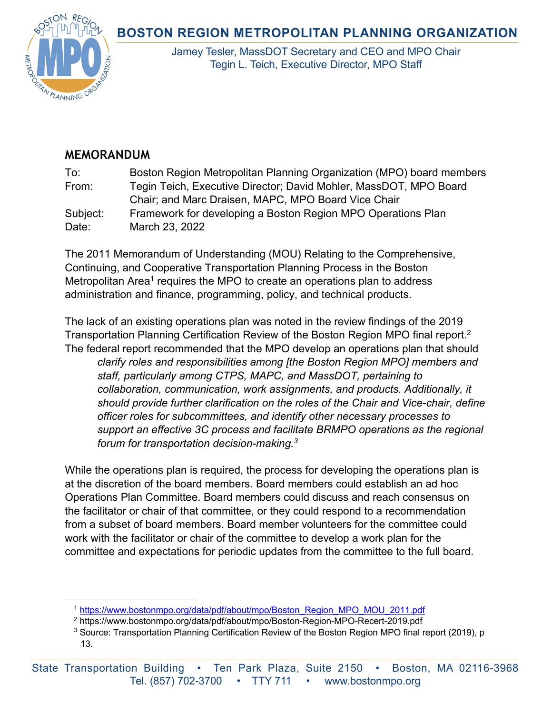## **BOSTON REGION METROPOLITAN PLANNING ORGANIZATION**



Jamey Tesler, MassDOT Secretary and CEO and MPO Chair Tegin L. Teich, Executive Director, MPO Staff

## **MEMORANDUM**

To: Boston Region Metropolitan Planning Organization (MPO) board members From: Tegin Teich, Executive Director; David Mohler, MassDOT, MPO Board Chair; and Marc Draisen, MAPC, MPO Board Vice Chair Subject: Framework for developing a Boston Region MPO Operations Plan Date: March 23, 2022

The 2011 Memorandum of Understanding (MOU) Relating to the Comprehensive, Continuing, and Cooperative Transportation Planning Process in the Boston Metropolitan Area<sup>1</sup> requires the MPO to create an operations plan to address administration and finance, programming, policy, and technical products.

The lack of an existing operations plan was noted in the review findings of the 2019 Transportation Planning Certification Review of the Boston Region MPO final report.2 The federal report recommended that the MPO develop an operations plan that should *clarify roles and responsibilities among [the Boston Region MPO] members and staff, particularly among CTPS, MAPC, and MassDOT, pertaining to collaboration, communication, work assignments, and products. Additionally, it should provide further clarification on the roles of the Chair and Vice-chair, define officer roles for subcommittees, and identify other necessary processes to support an effective 3C process and facilitate BRMPO operations as the regional forum for transportation decision-making.3*

While the operations plan is required, the process for developing the operations plan is at the discretion of the board members. Board members could establish an ad hoc Operations Plan Committee. Board members could discuss and reach consensus on the facilitator or chair of that committee, or they could respond to a recommendation from a subset of board members. Board member volunteers for the committee could work with the facilitator or chair of the committee to develop a work plan for the committee and expectations for periodic updates from the committee to the full board.

<sup>&</sup>lt;sup>1</sup> https://www.bostonmpo.org/data/pdf/about/mpo/Boston\_Region\_MPO\_MOU\_2011.pdf

<sup>2</sup> https://www.bostonmpo.org/data/pdf/about/mpo/Boston-Region-MPO-Recert-2019.pdf

 $3$  Source: Transportation Planning Certification Review of the Boston Region MPO final report (2019), p 13.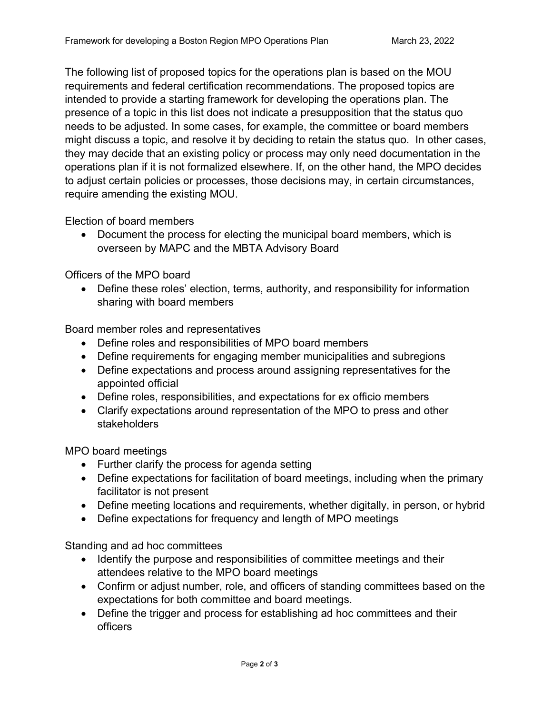The following list of proposed topics for the operations plan is based on the MOU requirements and federal certification recommendations. The proposed topics are intended to provide a starting framework for developing the operations plan. The presence of a topic in this list does not indicate a presupposition that the status quo needs to be adjusted. In some cases, for example, the committee or board members might discuss a topic, and resolve it by deciding to retain the status quo. In other cases, they may decide that an existing policy or process may only need documentation in the operations plan if it is not formalized elsewhere. If, on the other hand, the MPO decides to adjust certain policies or processes, those decisions may, in certain circumstances, require amending the existing MOU.

Election of board members

• Document the process for electing the municipal board members, which is overseen by MAPC and the MBTA Advisory Board

Officers of the MPO board

• Define these roles' election, terms, authority, and responsibility for information sharing with board members

Board member roles and representatives

- Define roles and responsibilities of MPO board members
- Define requirements for engaging member municipalities and subregions
- Define expectations and process around assigning representatives for the appointed official
- Define roles, responsibilities, and expectations for ex officio members
- Clarify expectations around representation of the MPO to press and other stakeholders

MPO board meetings

- Further clarify the process for agenda setting
- Define expectations for facilitation of board meetings, including when the primary facilitator is not present
- Define meeting locations and requirements, whether digitally, in person, or hybrid
- Define expectations for frequency and length of MPO meetings

Standing and ad hoc committees

- Identify the purpose and responsibilities of committee meetings and their attendees relative to the MPO board meetings
- Confirm or adjust number, role, and officers of standing committees based on the expectations for both committee and board meetings.
- Define the trigger and process for establishing ad hoc committees and their officers